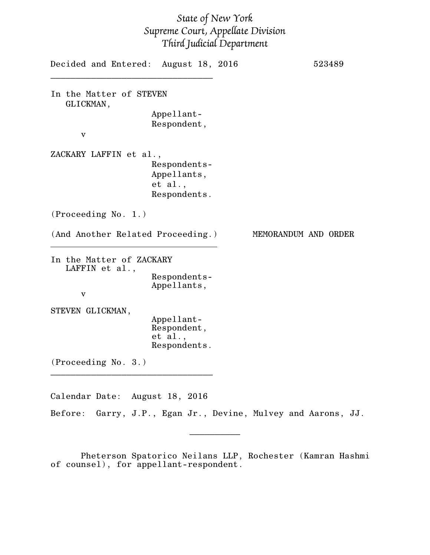## *State of New York Supreme Court, Appellate Division Third Judicial Department*

| Decided and Entered: August 18, 2016       |                                                       |                      | 523489 |
|--------------------------------------------|-------------------------------------------------------|----------------------|--------|
| In the Matter of STEVEN<br>GLICKMAN,       |                                                       |                      |        |
|                                            | Appellant-                                            |                      |        |
|                                            | Respondent,                                           |                      |        |
| $\mathbf{V}$                               |                                                       |                      |        |
| ZACKARY LAFFIN et al.,                     |                                                       |                      |        |
|                                            | Respondents-                                          |                      |        |
|                                            | Appellants,                                           |                      |        |
|                                            | et al.,                                               |                      |        |
|                                            | Respondents.                                          |                      |        |
| (Proceeding No. 1.)                        |                                                       |                      |        |
| (And Another Related Proceeding.)          |                                                       | MEMORANDUM AND ORDER |        |
| In the Matter of ZACKARY<br>LAFFIN et al., |                                                       |                      |        |
|                                            | Respondents-                                          |                      |        |
|                                            | Appellants,                                           |                      |        |
| $\mathbf{V}$                               |                                                       |                      |        |
| STEVEN GLICKMAN,                           |                                                       |                      |        |
|                                            | Appellant-                                            |                      |        |
|                                            | Respondent,                                           |                      |        |
|                                            | et al.,                                               |                      |        |
|                                            | Respondents.                                          |                      |        |
| (Proceeding No. 3.)                        |                                                       |                      |        |
|                                            |                                                       |                      |        |
| Calendar Date: August 18, 2016             |                                                       |                      |        |
| Before:                                    | Garry, J.P., Egan Jr., Devine, Mulvey and Aarons, JJ. |                      |        |

Pheterson Spatorico Neilans LLP, Rochester (Kamran Hashmi of counsel), for appellant-respondent.

 $\overline{\phantom{a}}$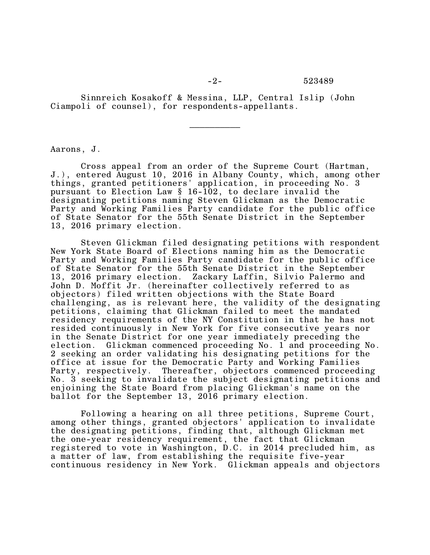Sinnreich Kosakoff & Messina, LLP, Central Islip (John Ciampoli of counsel), for respondents-appellants.

Aarons, J.

Cross appeal from an order of the Supreme Court (Hartman, J.), entered August 10, 2016 in Albany County, which, among other things, granted petitioners' application, in proceeding No. 3 pursuant to Election Law § 16-102, to declare invalid the designating petitions naming Steven Glickman as the Democratic Party and Working Families Party candidate for the public office of State Senator for the 55th Senate District in the September 13, 2016 primary election.

Steven Glickman filed designating petitions with respondent New York State Board of Elections naming him as the Democratic Party and Working Families Party candidate for the public office of State Senator for the 55th Senate District in the September 13, 2016 primary election. Zackary Laffin, Silvio Palermo and John D. Moffit Jr. (hereinafter collectively referred to as objectors) filed written objections with the State Board challenging, as is relevant here, the validity of the designating petitions, claiming that Glickman failed to meet the mandated residency requirements of the NY Constitution in that he has not resided continuously in New York for five consecutive years nor in the Senate District for one year immediately preceding the election. Glickman commenced proceeding No. 1 and proceeding No. 2 seeking an order validating his designating petitions for the office at issue for the Democratic Party and Working Families Party, respectively. Thereafter, objectors commenced proceeding No. 3 seeking to invalidate the subject designating petitions and enjoining the State Board from placing Glickman's name on the ballot for the September 13, 2016 primary election.

Following a hearing on all three petitions, Supreme Court, among other things, granted objectors' application to invalidate the designating petitions, finding that, although Glickman met the one-year residency requirement, the fact that Glickman registered to vote in Washington, D.C. in 2014 precluded him, as a matter of law, from establishing the requisite five-year continuous residency in New York. Glickman appeals and objectors

 $\frac{1}{2}$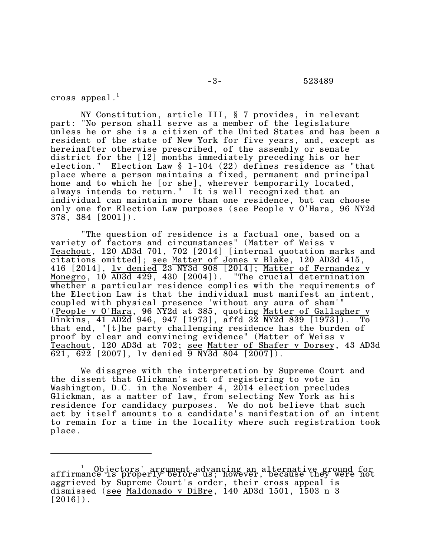cross appeal. $^1$ 

NY Constitution, article III, § 7 provides, in relevant part: "No person shall serve as a member of the legislature unless he or she is a citizen of the United States and has been a resident of the state of New York for five years, and, except as hereinafter otherwise prescribed, of the assembly or senate district for the [12] months immediately preceding his or her election." Election Law § 1-104 (22) defines residence as "that place where a person maintains a fixed, permanent and principal home and to which he [or she], wherever temporarily located, always intends to return." It is well recognized that an individual can maintain more than one residence, but can choose only one for Election Law purposes (see People v O'Hara, 96 NY2d 378, 384 [2001]).

"The question of residence is a factual one, based on a variety of factors and circumstances" (Matter of Weiss v Teachout, 120 AD3d 701, 702 [2014] [internal quotation marks and citations omitted]; see Matter of Jones v Blake, 120 AD3d 415, 416 [2014], <u>lv denied 23 NY3d 908 [2014]; Matter of Fernandez</u> v Monegro, 10 AD3d 429, 430 [2004]). "The crucial determination whether a particular residence complies with the requirements of the Election Law is that the individual must manifest an intent, coupled with physical presence 'without any aura of sham'" (People v O'Hara, 96 NY2d at 385, quoting Matter of Gallagher v Dinkins, 41 AD2d 946, 947 [1973], affd 32 NY2d 839 [1973]). To that end, "[t]he party challenging residence has the burden of proof by clear and convincing evidence" (Matter of Weiss v Teachout, 120 AD3d at 702; see Matter of Shafer v Dorsey, 43 AD3d  $\overline{621}$ ,  $\overline{622}$  [2007], lv denied  $\overline{9}$  NY3d 804 [2007]).

We disagree with the interpretation by Supreme Court and the dissent that Glickman's act of registering to vote in Washington, D.C. in the November 4, 2014 election precludes Glickman, as a matter of law, from selecting New York as his residence for candidacy purposes. We do not believe that such act by itself amounts to a candidate's manifestation of an intent to remain for a time in the locality where such registration took place.

affirmance is properly before us; however, because they were not aggrieved by Supreme Court's order, their cross appeal is dismissed (see Maldonado v DiBre, 140 AD3d 1501, 1503 n 3  $[2016]$ .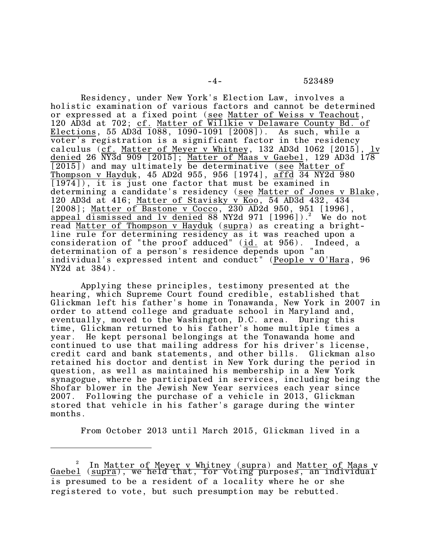-4- 523489

Residency, under New York's Election Law, involves a holistic examination of various factors and cannot be determined or expressed at a fixed point (see Matter of Weiss v Teachout, 120 AD3d at 702; cf. Matter of Willkie v Delaware County Bd. of Elections, 55 AD3d 1088, 1090-1091 [2008]). As such, while a voter's registration is a significant factor in the residency calculus (cf. Matter of Meyer v Whitney,  $132$  AD3d  $1062$  [2015], denied 26 NY3d 909 [2015]; Matter of Maas v Gaebel, 129 AD3d 178 [2015]) and may ultimately be determinative (see Matter of Thompson v Hayduk, 45 AD2d 955, 956 [1974], affd 34 NY2d 980 [1974]), it is just one factor that must be examined in determining a candidate's residency (<u>see Matter of Jones v Blake,</u> 120 AD3d at 416; Matter of Stavisky v Koo, 54 AD3d 432, 434 [2008]; Matter of Bastone v Cocco, 230 AD2d 950, 951 [1996], appeal dismissed and lv denied  $88$  NY2d  $971$  [1996]).<sup>2</sup> We do not read Matter of Thompson v Hayduk (supra) as creating a brightline rule for determining residency as it was reached upon a consideration of "the proof adduced" (id. at 956). Indeed, a determination of a person's residence depends upon "an individual's expressed intent and conduct" (People v O'Hara, 96 NY2d at 384).

Applying these principles, testimony presented at the hearing, which Supreme Court found credible, established that Glickman left his father's home in Tonawanda, New York in 2007 in order to attend college and graduate school in Maryland and, eventually, moved to the Washington, D.C. area. During this time, Glickman returned to his father's home multiple times a year. He kept personal belongings at the Tonawanda home and continued to use that mailing address for his driver's license, credit card and bank statements, and other bills. Glickman also retained his doctor and dentist in New York during the period in question, as well as maintained his membership in a New York synagogue, where he participated in services, including being the Shofar blower in the Jewish New Year services each year since 2007. Following the purchase of a vehicle in 2013, Glickman stored that vehicle in his father's garage during the winter months.

From October 2013 until March 2015, Glickman lived in a

 $\frac{2}{\pi}$  In Matter of Meyer v Whitney (supra) and <u>Matter of Maas v</u> Gaebel (supra), we held that, for voting purposes, an individual is presumed to be a resident of a locality where he or she registered to vote, but such presumption may be rebutted.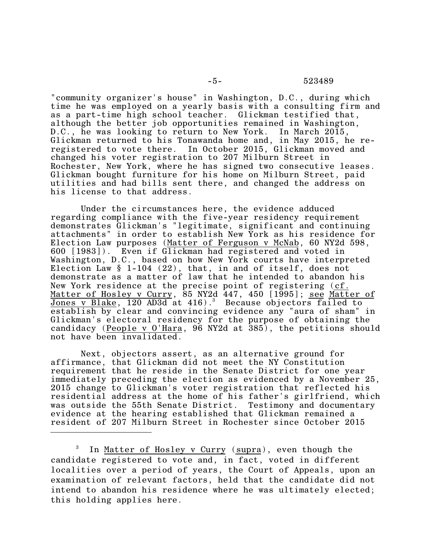"community organizer's house" in Washington, D.C., during which time he was employed on a yearly basis with a consulting firm and as a part-time high school teacher. Glickman testified that, although the better job opportunities remained in Washington, D.C., he was looking to return to New York. In March 2015, Glickman returned to his Tonawanda home and, in May 2015, he reregistered to vote there. In October 2015, Glickman moved and changed his voter registration to 207 Milburn Street in Rochester, New York, where he has signed two consecutive leases. Glickman bought furniture for his home on Milburn Street, paid utilities and had bills sent there, and changed the address on his license to that address.

Under the circumstances here, the evidence adduced regarding compliance with the five-year residency requirement demonstrates Glickman's "legitimate, significant and continuing attachments" in order to establish New York as his residence for Election Law purposes (Matter of Ferguson v McNab, 60 NY2d 598, 600 [1983]). Even if Glickman had registered and voted in Washington, D.C., based on how New York courts have interpreted Election Law § 1-104 (22), that, in and of itself, does not demonstrate as a matter of law that he intended to abandon his New York residence at the precise point of registering (cf. Matter of Hosley v Curry, 85 NY2d 447, 450 [1995]; see Matter of Jones v Blake, 120 AD3d at 416).<sup>3</sup> Because objectors failed to establish by clear and convincing evidence any "aura of sham" in Glickman's electoral residency for the purpose of obtaining the candidacy (People v O'Hara, 96 NY2d at 385), the petitions should not have been invalidated.

Next, objectors assert, as an alternative ground for affirmance, that Glickman did not meet the NY Constitution requirement that he reside in the Senate District for one year immediately preceding the election as evidenced by a November 25, 2015 change to Glickman's voter registration that reflected his residential address at the home of his father's girlfriend, which was outside the 55th Senate District. Testimony and documentary evidence at the hearing established that Glickman remained a resident of 207 Milburn Street in Rochester since October 2015

<sup>3</sup> In Matter of Hosley v Curry (supra), even though the candidate registered to vote and, in fact, voted in different localities over a period of years, the Court of Appeals, upon an examination of relevant factors, held that the candidate did not intend to abandon his residence where he was ultimately elected; this holding applies here.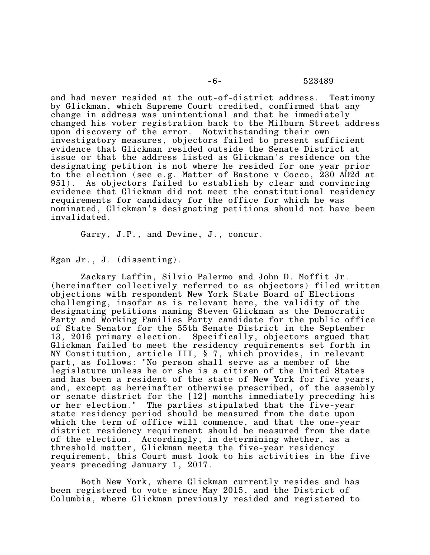and had never resided at the out-of-district address. Testimony by Glickman, which Supreme Court credited, confirmed that any change in address was unintentional and that he immediately changed his voter registration back to the Milburn Street address upon discovery of the error. Notwithstanding their own investigatory measures, objectors failed to present sufficient evidence that Glickman resided outside the Senate District at issue or that the address listed as Glickman's residence on the designating petition is not where he resided for one year prior to the election (see e.g. Matter of Bastone v Cocco, 230 AD2d at 951). As objectors failed to establish by clear and convincing evidence that Glickman did not meet the constitutional residency requirements for candidacy for the office for which he was nominated, Glickman's designating petitions should not have been invalidated.

Garry, J.P., and Devine, J., concur.

Egan Jr., J. (dissenting).

Zackary Laffin, Silvio Palermo and John D. Moffit Jr. (hereinafter collectively referred to as objectors) filed written objections with respondent New York State Board of Elections challenging, insofar as is relevant here, the validity of the designating petitions naming Steven Glickman as the Democratic Party and Working Families Party candidate for the public office of State Senator for the 55th Senate District in the September 13, 2016 primary election. Specifically, objectors argued that Glickman failed to meet the residency requirements set forth in NY Constitution, article III, § 7, which provides, in relevant part, as follows: "No person shall serve as a member of the legislature unless he or she is a citizen of the United States and has been a resident of the state of New York for five years, and, except as hereinafter otherwise prescribed, of the assembly or senate district for the [12] months immediately preceding his or her election." The parties stipulated that the five-year state residency period should be measured from the date upon which the term of office will commence, and that the one-year district residency requirement should be measured from the date of the election. Accordingly, in determining whether, as a threshold matter, Glickman meets the five-year residency requirement, this Court must look to his activities in the five years preceding January 1, 2017.

Both New York, where Glickman currently resides and has been registered to vote since May 2015, and the District of Columbia, where Glickman previously resided and registered to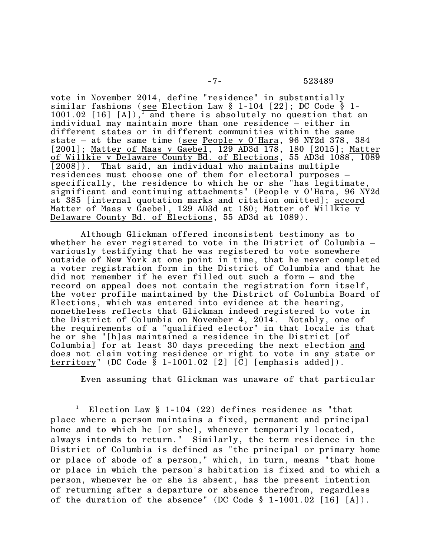vote in November 2014, define "residence" in substantially similar fashions (see Election Law § 1-104 [22]; DC Code § 1- 1001.02 [16] [A]),  $\frac{1}{1}$  and there is absolutely no question that an individual may maintain more than one residence – either in different states or in different communities within the same state – at the same time (see People v O'Hara, 96 NY2d 378, 384 [2001]; Matter of Maas v Gaebel, 129 AD3d 178, 180 [2015]; Matter of Willkie v Delaware County Bd. of Elections, 55 AD3d 1088, 1089 [2008]). That said, an individual who maintains multiple residences must choose one of them for electoral purposes – specifically, the residence to which he or she "has legitimate, significant and continuing attachments" (People v O'Hara, 96 NY2d at 385 [internal quotation marks and citation omitted]; <u>accord</u> Matter of Maas v Gaebel, 129 AD3d at 180; Matter of Willkie v Delaware County Bd. of Elections, 55 AD3d at 1089).

Although Glickman offered inconsistent testimony as to whether he ever registered to vote in the District of Columbia – variously testifying that he was registered to vote somewhere outside of New York at one point in time, that he never completed a voter registration form in the District of Columbia and that he did not remember if he ever filled out such a form – and the record on appeal does not contain the registration form itself, the voter profile maintained by the District of Columbia Board of Elections, which was entered into evidence at the hearing, nonetheless reflects that Glickman indeed registered to vote in the District of Columbia on November 4, 2014. Notably, one of the requirements of a "qualified elector" in that locale is that he or she "[h]as maintained a residence in the District [of Columbia] for at least 30 days preceding the next election and does not claim voting residence or right to vote in any state or territory" (DC Code § 1-1001.02 [2] [C] [emphasis added]).

Even assuming that Glickman was unaware of that particular

<sup>&</sup>lt;sup>1</sup> Election Law  $\S$  1-104 (22) defines residence as "that place where a person maintains a fixed, permanent and principal home and to which he [or she], whenever temporarily located, always intends to return." Similarly, the term residence in the District of Columbia is defined as "the principal or primary home or place of abode of a person," which, in turn, means "that home or place in which the person's habitation is fixed and to which a person, whenever he or she is absent, has the present intention of returning after a departure or absence therefrom, regardless of the duration of the absence" (DC Code  $\S$  1-1001.02 [16] [A]).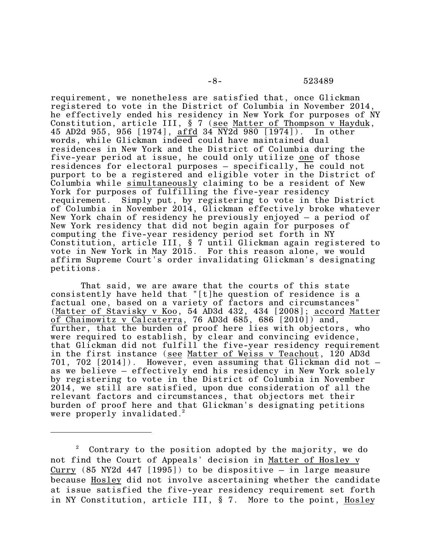requirement, we nonetheless are satisfied that, once Glickman registered to vote in the District of Columbia in November 2014, he effectively ended his residency in New York for purposes of NY Constitution, article III, § 7 (see Matter of Thompson v Hayduk, 45 AD2d 955, 956 [1974], affd 34 NY2d 980 [1974]). In other words, while Glickman indeed could have maintained dual residences in New York and the District of Columbia during the five-year period at issue, he could only utilize one of those residences for electoral purposes – specifically, he could not purport to be a registered and eligible voter in the District of Columbia while simultaneously claiming to be a resident of New York for purposes of fulfilling the five-year residency requirement. Simply put, by registering to vote in the District of Columbia in November 2014, Glickman effectively broke whatever New York chain of residency he previously enjoyed – a period of New York residency that did not begin again for purposes of computing the five-year residency period set forth in NY Constitution, article III, § 7 until Glickman again registered to vote in New York in May 2015. For this reason alone, we would affirm Supreme Court's order invalidating Glickman's designating petitions.

That said, we are aware that the courts of this state consistently have held that "[t]he question of residence is a factual one, based on a variety of factors and circumstances" (Matter of Stavisky v Koo, 54 AD3d 432, 434 [2008]; accord Matter of Chaimowitz v Calcaterra, 76 AD3d 685, 686  $[2010]$  and, further, that the burden of proof here lies with objectors, who were required to establish, by clear and convincing evidence, that Glickman did not fulfill the five-year residency requirement in the first instance (see Matter of Weiss v Teachout, 120 AD3d 701, 702  $[2014]$ ). However, even assuming that Glickman did not  $$ as we believe – effectively end his residency in New York solely by registering to vote in the District of Columbia in November 2014, we still are satisfied, upon due consideration of all the relevant factors and circumstances, that objectors met their burden of proof here and that Glickman's designating petitions were properly invalidated.<sup>2</sup>

 $2^{\circ}$  Contrary to the position adopted by the majority, we do not find the Court of Appeals' decision in Matter of Hosley v Curry  $(85 \text{ NY2d } 447 \text{ [}1995] )$  to be dispositive – in large measure because Hosley did not involve ascertaining whether the candidate at issue satisfied the five-year residency requirement set forth in NY Constitution, article III, § 7. More to the point, Hosley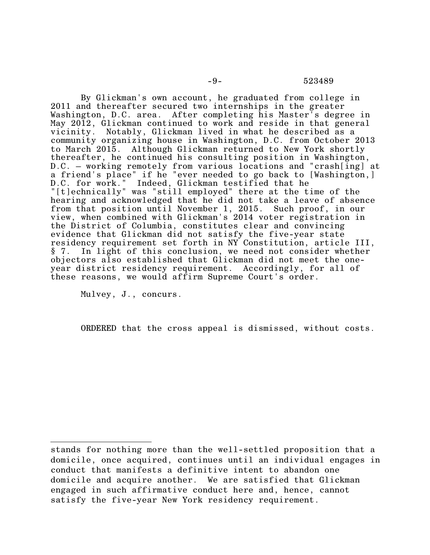-9- 523489

By Glickman's own account, he graduated from college in 2011 and thereafter secured two internships in the greater Washington, D.C. area. After completing his Master's degree in May 2012, Glickman continued to work and reside in that general vicinity. Notably, Glickman lived in what he described as a community organizing house in Washington, D.C. from October 2013 to March 2015. Although Glickman returned to New York shortly thereafter, he continued his consulting position in Washington, D.C. – working remotely from various locations and "crash[ing] at a friend's place" if he "ever needed to go back to [Washington,] D.C. for work." Indeed, Glickman testified that he "[t]echnically" was "still employed" there at the time of the hearing and acknowledged that he did not take a leave of absence from that position until November 1, 2015. Such proof, in our view, when combined with Glickman's 2014 voter registration in the District of Columbia, constitutes clear and convincing evidence that Glickman did not satisfy the five-year state residency requirement set forth in NY Constitution, article III, § 7. In light of this conclusion, we need not consider whether objectors also established that Glickman did not meet the oneyear district residency requirement. Accordingly, for all of these reasons, we would affirm Supreme Court's order.

Mulvey, J., concurs.

ORDERED that the cross appeal is dismissed, without costs.

stands for nothing more than the well-settled proposition that a domicile, once acquired, continues until an individual engages in conduct that manifests a definitive intent to abandon one domicile and acquire another. We are satisfied that Glickman engaged in such affirmative conduct here and, hence, cannot satisfy the five-year New York residency requirement.